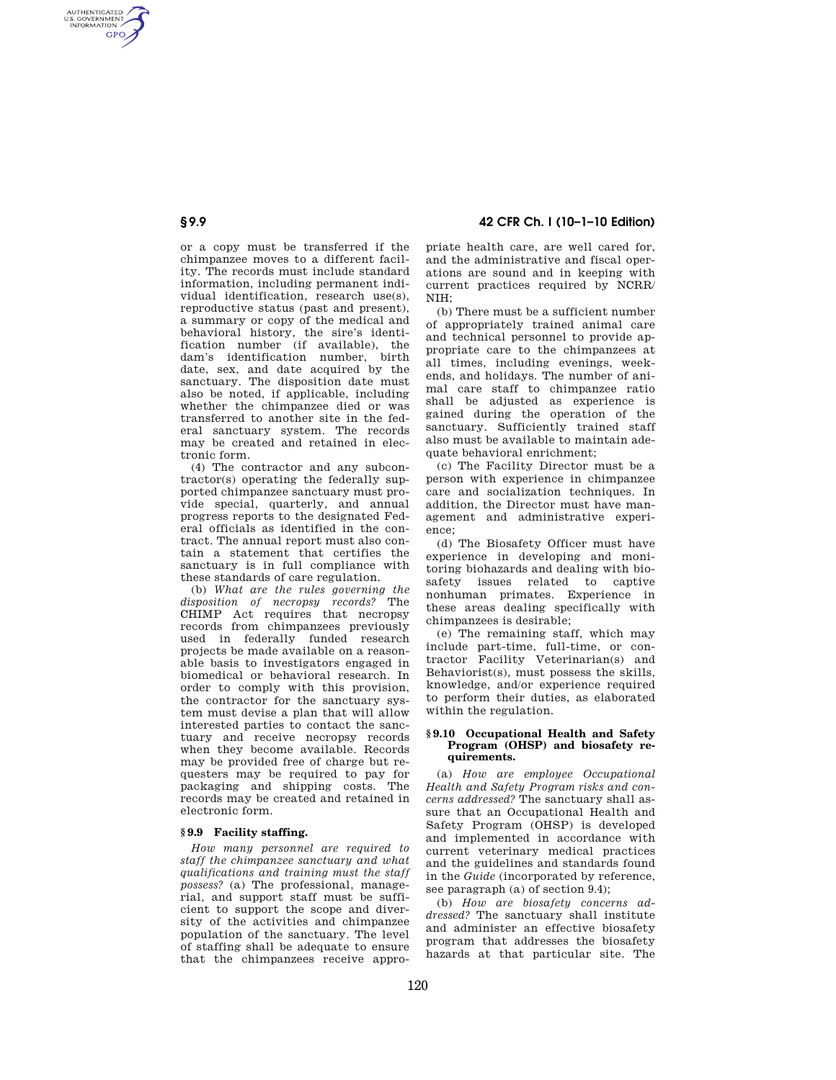# **§ 9.9 42 CFR Ch. I (10–1–10 Edition)**

or a copy must be transferred if the chimpanzee moves to a different facility. The records must include standard information, including permanent individual identification, research use(s), reproductive status (past and present), a summary or copy of the medical and behavioral history, the sire's identification number (if available), the dam's identification number, birth date, sex, and date acquired by the sanctuary. The disposition date must also be noted, if applicable, including whether the chimpanzee died or was transferred to another site in the federal sanctuary system. The records may be created and retained in electronic form.

(4) The contractor and any subcontractor(s) operating the federally supported chimpanzee sanctuary must provide special, quarterly, and annual progress reports to the designated Federal officials as identified in the contract. The annual report must also contain a statement that certifies the sanctuary is in full compliance with these standards of care regulation.

(b) *What are the rules governing the disposition of necropsy records?* The CHIMP Act requires that necropsy records from chimpanzees previously used in federally funded research projects be made available on a reasonable basis to investigators engaged in biomedical or behavioral research. In order to comply with this provision, the contractor for the sanctuary system must devise a plan that will allow interested parties to contact the sanctuary and receive necropsy records when they become available. Records may be provided free of charge but requesters may be required to pay for packaging and shipping costs. The records may be created and retained in electronic form.

### **§ 9.9 Facility staffing.**

*How many personnel are required to staff the chimpanzee sanctuary and what qualifications and training must the staff possess?* (a) The professional, managerial, and support staff must be sufficient to support the scope and diversity of the activities and chimpanzee population of the sanctuary. The level of staffing shall be adequate to ensure that the chimpanzees receive appropriate health care, are well cared for, and the administrative and fiscal operations are sound and in keeping with current practices required by NCRR/  $N$ I $H<sub>0</sub>$ 

(b) There must be a sufficient number of appropriately trained animal care and technical personnel to provide appropriate care to the chimpanzees at all times, including evenings, weekends, and holidays. The number of animal care staff to chimpanzee ratio shall be adjusted as experience is gained during the operation of the sanctuary. Sufficiently trained staff also must be available to maintain adequate behavioral enrichment;

(c) The Facility Director must be a person with experience in chimpanzee care and socialization techniques. In addition, the Director must have management and administrative experience;

(d) The Biosafety Officer must have experience in developing and monitoring biohazards and dealing with biosafety issues related to captive nonhuman primates. Experience in these areas dealing specifically with chimpanzees is desirable;

(e) The remaining staff, which may include part-time, full-time, or contractor Facility Veterinarian(s) and Behaviorist(s), must possess the skills, knowledge, and/or experience required to perform their duties, as elaborated within the regulation.

### **§ 9.10 Occupational Health and Safety Program (OHSP) and biosafety requirements.**

(a) *How are employee Occupational Health and Safety Program risks and concerns addressed?* The sanctuary shall assure that an Occupational Health and Safety Program (OHSP) is developed and implemented in accordance with current veterinary medical practices and the guidelines and standards found in the *Guide* (incorporated by reference, see paragraph (a) of section 9.4);

(b) *How are biosafety concerns addressed?* The sanctuary shall institute and administer an effective biosafety program that addresses the biosafety hazards at that particular site. The

AUTHENTICATED<br>U.S. GOVERNMENT<br>INFORMATION **GPO**